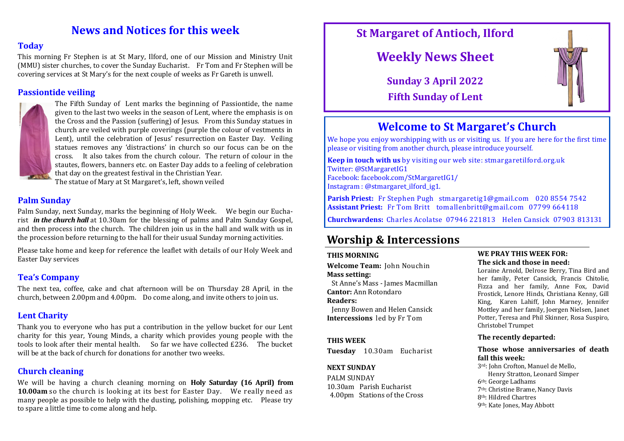# **News and Notices for this week**

### **Today**

This morning Fr Stephen is at St Mary, Ilford, one of our Mission and Ministry Unit (MMU) sister churches, to cover the Sunday Eucharist. Fr Tom and Fr Stephen will be covering services at St Mary's for the next couple of weeks as Fr Gareth is unwell.

## **Passiontide veiling**



The Fifth Sunday of Lent marks the beginning of Passiontide, the name given to the last two weeks in the season of Lent, where the emphasis is on the Cross and the Passion (suffering) of Jesus. From this Sunday statues in church are veiled with purple coverings (purple the colour of vestments in Lent), until the celebration of Jesus' resurrection on Easter Day. Veiling statues removes any 'distractions' in church so our focus can be on the cross. It also takes from the church colour. The return of colour in the stautes, flowers, banners etc. on Easter Day adds to a feeling of celebration that day on the greatest festival in the Christian Year.

The statue of Mary at St Margaret's, left, shown veiled

## **Palm Sunday**

Palm Sunday, next Sunday, marks the beginning of Holy Week. We begin our Eucharist *in the church hall* at 10.30am for the blessing of palms and Palm Sunday Gospel, and then process into the church. The children join us in the hall and walk with us in the procession before returning to the hall for their usual Sunday morning activities.

Please take home and keep for reference the leaflet with details of our Holy Week and Easter Day services

## **Tea's Company**

The next tea, coffee, cake and chat afternoon will be on Thursday 28 April, in the church, between 2.00pm and 4.00pm. Do come along, and invite others to join us.

## **Lent Charity**

Thank you to everyone who has put a contribution in the yellow bucket for our Lent charity for this year, Young Minds, a charity which provides young people with the tools to look after their mental health. So far we have collected £236. The bucket will be at the back of church for donations for another two weeks.

## **Church cleaning**

We will be having a church cleaning morning on **Holy Saturday (16 April) from 10.00am** so the church is looking at its best for Easter Day. We really need as many people as possible to help with the dusting, polishing, mopping etc. Please try to spare a little time to come along and help.

# **St Margaret of Antioch, Ilford**

# **Weekly News Sheet**

**Sunday 3 April 2022 Fifth Sunday of Lent**



# **Welcome to St Margaret's Church**

We hope you enjoy worshipping with us or visiting us. If you are here for the first time please or visiting from another church, please introduce yourself.

**Keep in touch with us** by visiting our web site: stmargaretilford.org.uk Twitter: @StMargaretIG1 Facebook: facebook.com/StMargaretIG1/ Instagram : @stmargaret\_ilford\_ig1.

**Parish Priest:** Fr Stephen Pugh stmargaretig1@gmail.com 020 8554 7542 **Assistant Priest:** Fr Tom Britt tomallenbritt@gmail.com 07799 664118

**Churchwardens:** Charles Acolatse 07946 221813 Helen Cansick 07903 813131

# **Worship & Intercessions**

#### **THIS MORNING**

**Welcome Team:** John Nouchin **Mass setting:** 

 St Anne's Mass - James Macmillan **Cantor:** Ann Rotondaro

## **Readers:**

 Jenny Bowen and Helen Cansick **Intercessions** led by Fr Tom

#### **THIS WEEK**

**Tuesday** 10.30am Eucharist

#### **NEXT SUNDAY**

PALM SUNDAY 10.30am Parish Eucharist 4.00pm Stations of the Cross

#### **WE PRAY THIS WEEK FOR: The sick and those in need:**

Loraine Arnold, Delrose Berry, Tina Bird and her family, Peter Cansick, Francis Chitolie, Fizza and her family, Anne Fox, David Frostick, Lenore Hinds, Christiana Kenny, Gill King, Karen Lahiff, John Marney, Jennifer Mottley and her family, Joergen Nielsen, Janet Potter, Teresa and Phil Skinner, Rosa Suspiro, Christobel Trumpet

#### **The recently departed:**

#### **Those whose anniversaries of death fall this week:**

3rd: John Crofton, Manuel de Mello, Henry Stratton, Leonard Simper 6th: George Ladhams

- 
- 7th: Christine Brame, Nancy Davis
- 8th: Hildred Chartres
- 9th: Kate Jones, May Abbott